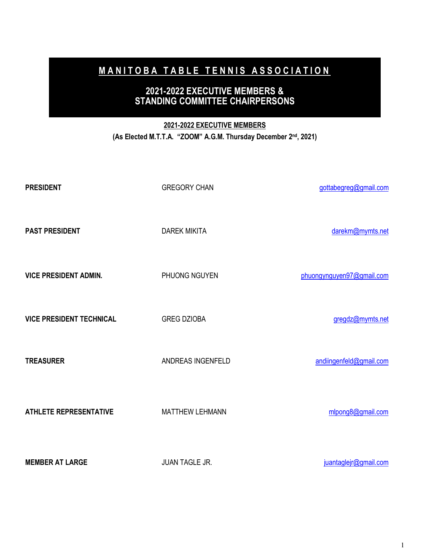# **MANITOBA TABLE TENNIS ASSOCIATION**

## **2021-2022 EXECUTIVE MEMBERS & STANDING COMMITTEE CHAIRPERSONS**

### **2021-2022 EXECUTIVE MEMBERS**

**(As Elected M.T.T.A. "ZOOM" A.G.M. Thursday December 2nd, 2021)** 

| <b>PRESIDENT</b>                | <b>GREGORY CHAN</b>    | gottabegreg@gmail.com     |
|---------------------------------|------------------------|---------------------------|
| <b>PAST PRESIDENT</b>           | <b>DAREK MIKITA</b>    | darekm@mymts.net          |
| <b>VICE PRESIDENT ADMIN.</b>    | PHUONG NGUYEN          | phuongynguyen97@gmail.com |
| <b>VICE PRESIDENT TECHNICAL</b> | <b>GREG DZIOBA</b>     | gregdz@mymts.net          |
| <b>TREASURER</b>                | ANDREAS INGENFELD      | andiingenfeld@gmail.com   |
| <b>ATHLETE REPRESENTATIVE</b>   | <b>MATTHEW LEHMANN</b> | mlpong8@gmail.com         |
| <b>MEMBER AT LARGE</b>          | <b>JUAN TAGLE JR.</b>  | juantaglejr@gmail.com     |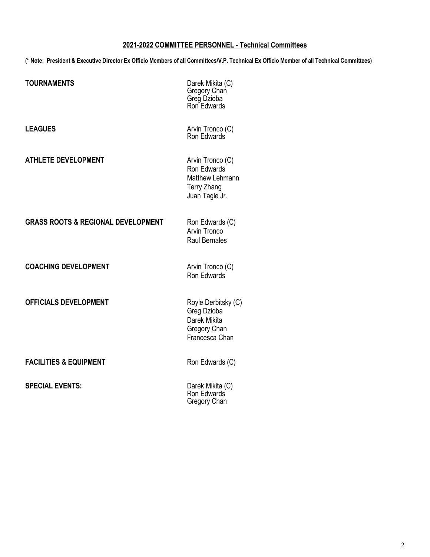#### **2021-2022 COMMITTEE PERSONNEL - Technical Committees**

**(\* Note: President & Executive Director Ex Officio Members of all Committees/V.P. Technical Ex Officio Member of all Technical Committees)** 

| <b>TOURNAMENTS</b>                            | Darek Mikita (C)<br>Gregory Chan<br>Greg Dzioba<br>Ron Edwards                             |
|-----------------------------------------------|--------------------------------------------------------------------------------------------|
| <b>LEAGUES</b>                                | Arvin Tronco (C)<br>Ron Edwards                                                            |
| <b>ATHLETE DEVELOPMENT</b>                    | Arvin Tronco (C)<br>Ron Edwards<br>Matthew Lehmann<br><b>Terry Zhang</b><br>Juan Tagle Jr. |
| <b>GRASS ROOTS &amp; REGIONAL DEVELOPMENT</b> | Ron Edwards (C)<br>Arvin Tronco<br><b>Raul Bernales</b>                                    |
| <b>COACHING DEVELOPMENT</b>                   | Arvin Tronco (C)<br>Ron Edwards                                                            |
| <b>OFFICIALS DEVELOPMENT</b>                  | Royle Derbitsky (C)<br>Greg Dzioba<br>Darek Mikita<br>Gregory Chan<br>Francesca Chan       |
| <b>FACILITIES &amp; EQUIPMENT</b>             | Ron Edwards (C)                                                                            |
| <b>SPECIAL EVENTS:</b>                        | Darek Mikita (C)<br>Ron Edwards<br>Gregory Chan                                            |